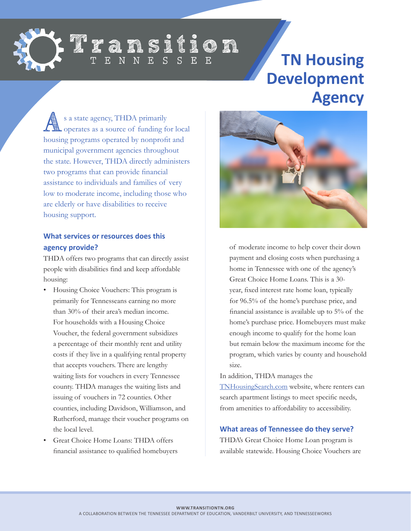

### Transition  $N$   $E$  $\overline{S}$

# **TN Housing Development Agency**

s a state agency, THDA primarily<br> **Also perates as a source of funding for local** housing programs operated by nonprofit and municipal government agencies throughout the state. However, THDA directly administers two programs that can provide financial assistance to individuals and families of very low to moderate income, including those who are elderly or have disabilities to receive housing support.

#### **What services or resources does this agency provide?**

THDA offers two programs that can directly assist people with disabilities find and keep affordable housing:

- Housing Choice Vouchers: This program is primarily for Tennesseans earning no more than 30% of their area's median income. For households with a Housing Choice Voucher, the federal government subsidizes a percentage of their monthly rent and utility costs if they live in a qualifying rental property that accepts vouchers. There are lengthy waiting lists for vouchers in every Tennessee county. THDA manages the waiting lists and issuing of vouchers in 72 counties. Other counties, including Davidson, Williamson, and Rutherford, manage their voucher programs on the local level.
- Great Choice Home Loans: THDA offers financial assistance to qualified homebuyers



of moderate income to help cover their down payment and closing costs when purchasing a home in Tennessee with one of the agency's Great Choice Home Loans. This is a 30 year, fixed interest rate home loan, typically for 96.5% of the home's purchase price, and financial assistance is available up to 5% of the home's purchase price. Homebuyers must make enough income to qualify for the home loan but remain below the maximum income for the program, which varies by county and household size.

In addition, THDA manages the [TNHousingSearch.com](http://TNHousingSearch.com) website, where renters can search apartment listings to meet specific needs, from amenities to affordability to accessibility.

#### **What areas of Tennessee do they serve?**

THDA's Great Choice Home Loan program is available statewide. Housing Choice Vouchers are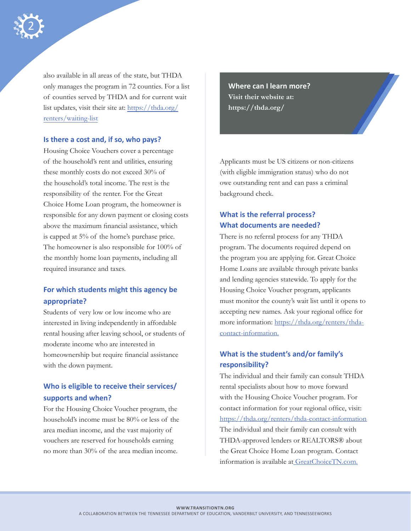

also available in all areas of the state, but THDA only manages the program in 72 counties. For a list of counties served by THDA and for current wait list updates, visit their site at: [https://thda.org/](https://thda.org/renters/waiting-list) [renters/waiting-list](https://thda.org/renters/waiting-list)

#### **Is there a cost and, if so, who pays?**

Housing Choice Vouchers cover a percentage of the household's rent and utilities, ensuring these monthly costs do not exceed 30% of the household's total income. The rest is the responsibility of the renter. For the Great Choice Home Loan program, the homeowner is responsible for any down payment or closing costs above the maximum financial assistance, which is capped at 5% of the home's purchase price. The homeowner is also responsible for 100% of the monthly home loan payments, including all required insurance and taxes.

#### **For which students might this agency be appropriate?**

Students of very low or low income who are interested in living independently in affordable rental housing after leaving school, or students of moderate income who are interested in homeownership but require financial assistance with the down payment.

## **Who is eligible to receive their services/ supports and when?**

For the Housing Choice Voucher program, the household's income must be 80% or less of the area median income, and the vast majority of vouchers are reserved for households earning no more than 30% of the area median income.

**Where can I learn more? Visit their website at: [https://thda.org/](https://thda.org)**

Applicants must be US citizens or non-citizens (with eligible immigration status) who do not owe outstanding rent and can pass a criminal background check.

### **What is the referral process? What documents are needed?**

There is no referral process for any THDA program. The documents required depend on the program you are applying for. Great Choice Home Loans are available through private banks and lending agencies statewide. To apply for the Housing Choice Voucher program, applicants must monitor the county's wait list until it opens to accepting new names. Ask your regional office for more information: [https://thda.org/renters/thda](https://thda.org/renters/thda-contact-information.)[contact-information.](https://thda.org/renters/thda-contact-information.)

#### **What is the student's and/or family's responsibility?**

The individual and their family can consult THDA rental specialists about how to move forward with the Housing Choice Voucher program. For contact information for your regional office, visit: [https://thda.org/renters/thda-contact-information](https://thda.org/renters/thda-contact-information )  The individual and their family can consult with THDA-approved lenders or REALTORS® about the Great Choice Home Loan program. Contact information is available a[t GreatChoiceTN.com.](http:// GreatChoiceTN.com.)